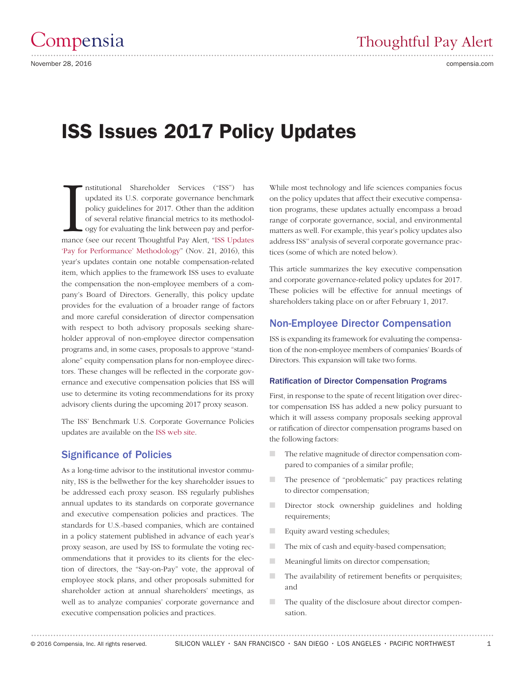# ISS Issues 2017 Policy Updates

nstitutional Shareholder Services ("ISS") has<br>updated its U.S. corporate governance benchmark<br>policy guidelines for 2017. Other than the addition<br>of several relative financial metrics to its methodol-<br>ogy for evaluating th nstitutional Shareholder Services ("ISS") has updated its U.S. corporate governance benchmark policy guidelines for 2017. Other than the addition of several relative financial metrics to its methodology for evaluating the link between pay and perfor-['Pay for Performance' Methodology](http://www.compensia.com/tpa_112116_iss_updatespayforperformance.html)" (Nov. 21, 2016), this year's updates contain one notable compensation-related item, which applies to the framework ISS uses to evaluate the compensation the non-employee members of a company's Board of Directors. Generally, this policy update provides for the evaluation of a broader range of factors and more careful consideration of director compensation with respect to both advisory proposals seeking shareholder approval of non-employee director compensation programs and, in some cases, proposals to approve "standalone" equity compensation plans for non-employee directors. These changes will be reflected in the corporate governance and executive compensation policies that ISS will use to determine its voting recommendations for its proxy advisory clients during the upcoming 2017 proxy season.

The ISS' Benchmark U.S. Corporate Governance Policies updates are available on the [ISS web site.](https://www.issgovernance.com/file/policy/executive-summary-of-key-2017-updates-and-policy.pdf)

# Significance of Policies

As a long-time advisor to the institutional investor community, ISS is the bellwether for the key shareholder issues to be addressed each proxy season. ISS regularly publishes annual updates to its standards on corporate governance and executive compensation policies and practices. The standards for U.S.-based companies, which are contained in a policy statement published in advance of each year's proxy season, are used by ISS to formulate the voting recommendations that it provides to its clients for the election of directors, the "Say-on-Pay" vote, the approval of employee stock plans, and other proposals submitted for shareholder action at annual shareholders' meetings, as well as to analyze companies' corporate governance and executive compensation policies and practices.

While most technology and life sciences companies focus on the policy updates that affect their executive compensation programs, these updates actually encompass a broad range of corporate governance, social, and environmental matters as well. For example, this year's policy updates also address ISS'' analysis of several corporate governance practices (some of which are noted below).

This article summarizes the key executive compensation and corporate governance-related policy updates for 2017. These policies will be effective for annual meetings of shareholders taking place on or after February 1, 2017.

### Non-Employee Director Compensation

ISS is expanding its framework for evaluating the compensation of the non-employee members of companies' Boards of Directors. This expansion will take two forms.

### Ratification of Director Compensation Programs

First, in response to the spate of recent litigation over director compensation ISS has added a new policy pursuant to which it will assess company proposals seeking approval or ratification of director compensation programs based on the following factors:

- The relative magnitude of director compensation compared to companies of a similar profile;
- The presence of "problematic" pay practices relating to director compensation;
- Director stock ownership guidelines and holding requirements;
- Equity award vesting schedules;
- The mix of cash and equity-based compensation;
- Meaningful limits on director compensation;
- The availability of retirement benefits or perquisites; and
- The quality of the disclosure about director compensation.

.......................................................................................................................................................................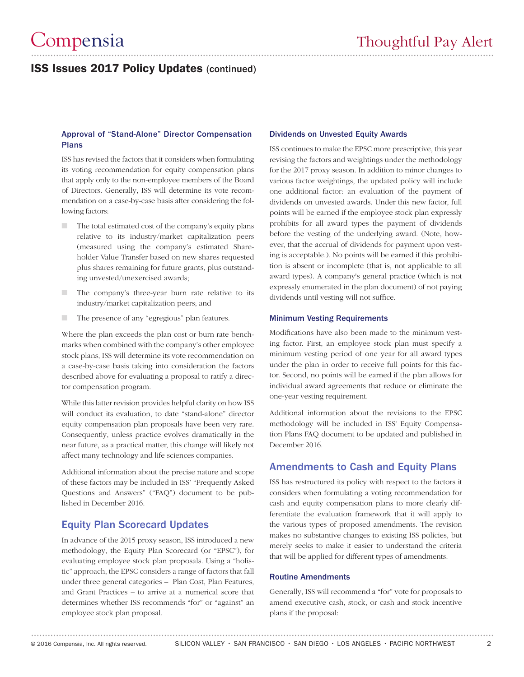# ISS Issues 2017 Policy Updates (continued)

### Approval of "Stand-Alone" Director Compensation Plans

ISS has revised the factors that it considers when formulating its voting recommendation for equity compensation plans that apply only to the non-employee members of the Board of Directors. Generally, ISS will determine its vote recommendation on a case-by-case basis after considering the following factors:

- The total estimated cost of the company's equity plans relative to its industry/market capitalization peers (measured using the company's estimated Shareholder Value Transfer based on new shares requested plus shares remaining for future grants, plus outstanding unvested/unexercised awards;
- The company's three-year burn rate relative to its industry/market capitalization peers; and
- The presence of any "egregious" plan features.

Where the plan exceeds the plan cost or burn rate benchmarks when combined with the company's other employee stock plans, ISS will determine its vote recommendation on a case-by-case basis taking into consideration the factors described above for evaluating a proposal to ratify a director compensation program.

While this latter revision provides helpful clarity on how ISS will conduct its evaluation, to date "stand-alone" director equity compensation plan proposals have been very rare. Consequently, unless practice evolves dramatically in the near future, as a practical matter, this change will likely not affect many technology and life sciences companies.

Additional information about the precise nature and scope of these factors may be included in ISS' "Frequently Asked Questions and Answers" ("FAQ") document to be published in December 2016.

# Equity Plan Scorecard Updates

In advance of the 2015 proxy season, ISS introduced a new methodology, the Equity Plan Scorecard (or "EPSC"), for evaluating employee stock plan proposals. Using a "holistic" approach, the EPSC considers a range of factors that fall under three general categories – Plan Cost, Plan Features, and Grant Practices – to arrive at a numerical score that determines whether ISS recommends "for" or "against" an employee stock plan proposal.

### Dividends on Unvested Equity Awards

ISS continues to make the EPSC more prescriptive, this year revising the factors and weightings under the methodology for the 2017 proxy season. In addition to minor changes to various factor weightings, the updated policy will include one additional factor: an evaluation of the payment of dividends on unvested awards. Under this new factor, full points will be earned if the employee stock plan expressly prohibits for all award types the payment of dividends before the vesting of the underlying award. (Note, however, that the accrual of dividends for payment upon vesting is acceptable.). No points will be earned if this prohibition is absent or incomplete (that is, not applicable to all award types). A company's general practice (which is not expressly enumerated in the plan document) of not paying dividends until vesting will not suffice.

### Minimum Vesting Requirements

Modifications have also been made to the minimum vesting factor. First, an employee stock plan must specify a minimum vesting period of one year for all award types under the plan in order to receive full points for this factor. Second, no points will be earned if the plan allows for individual award agreements that reduce or eliminate the one-year vesting requirement.

Additional information about the revisions to the EPSC methodology will be included in ISS' Equity Compensation Plans FAQ document to be updated and published in December 2016.

### Amendments to Cash and Equity Plans

ISS has restructured its policy with respect to the factors it considers when formulating a voting recommendation for cash and equity compensation plans to more clearly differentiate the evaluation framework that it will apply to the various types of proposed amendments. The revision makes no substantive changes to existing ISS policies, but merely seeks to make it easier to understand the criteria that will be applied for different types of amendments.

### Routine Amendments

Generally, ISS will recommend a "for" vote for proposals to amend executive cash, stock, or cash and stock incentive plans if the proposal: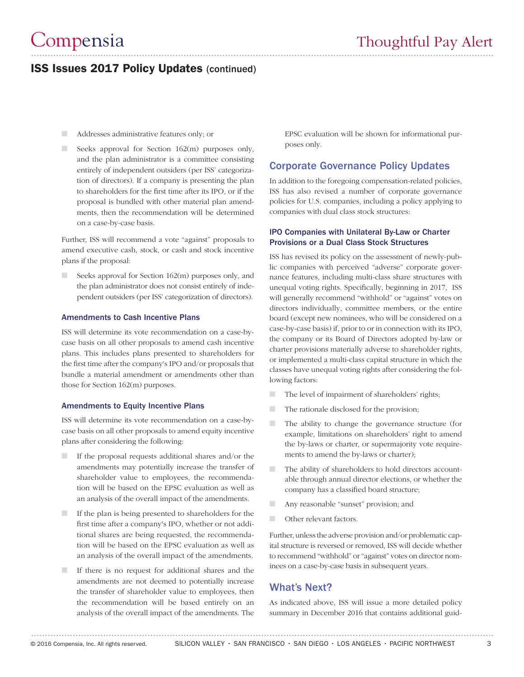# ISS Issues 2017 Policy Updates (continued)

- Addresses administrative features only; or
- $\Box$  Seeks approval for Section 162(m) purposes only, and the plan administrator is a committee consisting entirely of independent outsiders (per ISS' categorization of directors). If a company is presenting the plan to shareholders for the first time after its IPO, or if the proposal is bundled with other material plan amendments, then the recommendation will be determined on a case-by-case basis.

Further, ISS will recommend a vote "against" proposals to amend executive cash, stock, or cash and stock incentive plans if the proposal:

Seeks approval for Section  $162(m)$  purposes only, and the plan administrator does not consist entirely of independent outsiders (per ISS' categorization of directors).

### Amendments to Cash Incentive Plans

ISS will determine its vote recommendation on a case-bycase basis on all other proposals to amend cash incentive plans. This includes plans presented to shareholders for the first time after the company's IPO and/or proposals that bundle a material amendment or amendments other than those for Section 162(m) purposes.

### Amendments to Equity Incentive Plans

ISS will determine its vote recommendation on a case-bycase basis on all other proposals to amend equity incentive plans after considering the following:

- If the proposal requests additional shares and/or the amendments may potentially increase the transfer of shareholder value to employees, the recommendation will be based on the EPSC evaluation as well as an analysis of the overall impact of the amendments.
- If the plan is being presented to shareholders for the first time after a company's IPO, whether or not additional shares are being requested, the recommendation will be based on the EPSC evaluation as well as an analysis of the overall impact of the amendments.
- If there is no request for additional shares and the amendments are not deemed to potentially increase the transfer of shareholder value to employees, then the recommendation will be based entirely on an analysis of the overall impact of the amendments. The

EPSC evaluation will be shown for informational purposes only.

### Corporate Governance Policy Updates

In addition to the foregoing compensation-related policies, ISS has also revised a number of corporate governance policies for U.S. companies, including a policy applying to companies with dual class stock structures:

### IPO Companies with Unilateral By-Law or Charter Provisions or a Dual Class Stock Structures

ISS has revised its policy on the assessment of newly-public companies with perceived "adverse" corporate governance features, including multi-class share structures with unequal voting rights. Specifically, beginning in 2017, ISS will generally recommend "withhold" or "against" votes on directors individually, committee members, or the entire board (except new nominees, who will be considered on a case-by-case basis) if, prior to or in connection with its IPO, the company or its Board of Directors adopted by-law or charter provisions materially adverse to shareholder rights, or implemented a multi-class capital structure in which the classes have unequal voting rights after considering the following factors:

- The level of impairment of shareholders' rights;
- The rationale disclosed for the provision;
- The ability to change the governance structure (for example, limitations on shareholders' right to amend the by-laws or charter, or supermajority vote requirements to amend the by-laws or charter);
- The ability of shareholders to hold directors accountable through annual director elections, or whether the company has a classified board structure;
- Any reasonable "sunset" provision; and
- Other relevant factors.

Further, unless the adverse provision and/or problematic capital structure is reversed or removed, ISS will decide whether to recommend "withhold" or "against" votes on director nominees on a case-by-case basis in subsequent years.

# What's Next?

As indicated above, ISS will issue a more detailed policy summary in December 2016 that contains additional guid-